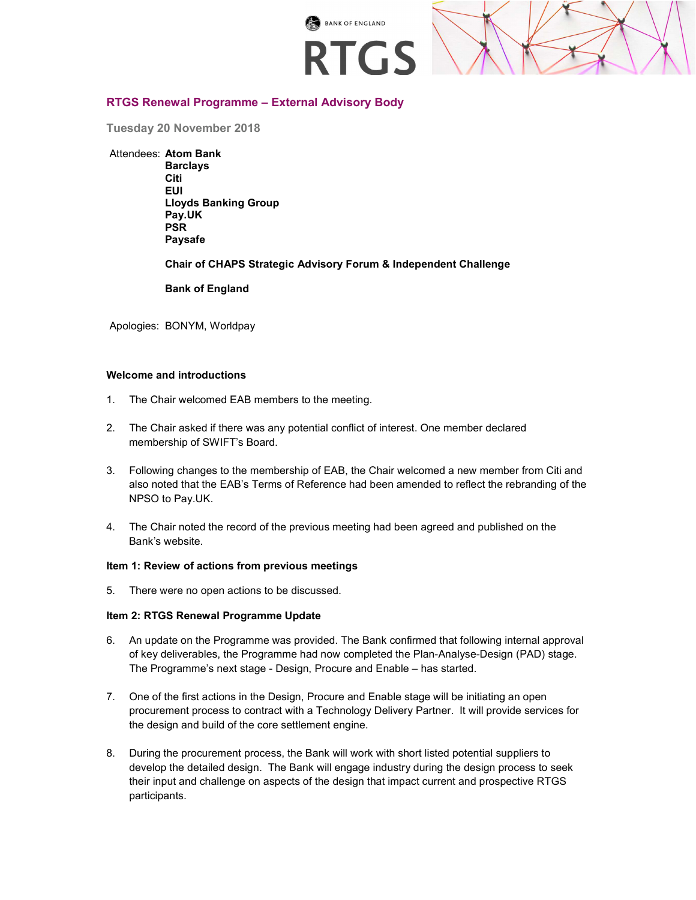

# RTGS Renewal Programme – External Advisory Body

Tuesday 20 November 2018

Attendees: Atom Bank

Barclays Citi EUI Lloyds Banking Group Pay.UK PSR Paysafe

Chair of CHAPS Strategic Advisory Forum & Independent Challenge

Bank of England

Apologies: BONYM, Worldpay

### Welcome and introductions

- 1. The Chair welcomed EAB members to the meeting.
- 2. The Chair asked if there was any potential conflict of interest. One member declared membership of SWIFT's Board.
- 3. Following changes to the membership of EAB, the Chair welcomed a new member from Citi and also noted that the EAB's Terms of Reference had been amended to reflect the rebranding of the NPSO to Pay.UK.
- 4. The Chair noted the record of the previous meeting had been agreed and published on the Bank's website.

#### Item 1: Review of actions from previous meetings

5. There were no open actions to be discussed.

## Item 2: RTGS Renewal Programme Update

- 6. An update on the Programme was provided. The Bank confirmed that following internal approval of key deliverables, the Programme had now completed the Plan-Analyse-Design (PAD) stage. The Programme's next stage - Design, Procure and Enable – has started.
- 7. One of the first actions in the Design, Procure and Enable stage will be initiating an open procurement process to contract with a Technology Delivery Partner. It will provide services for the design and build of the core settlement engine.
- 8. During the procurement process, the Bank will work with short listed potential suppliers to develop the detailed design. The Bank will engage industry during the design process to seek their input and challenge on aspects of the design that impact current and prospective RTGS participants.